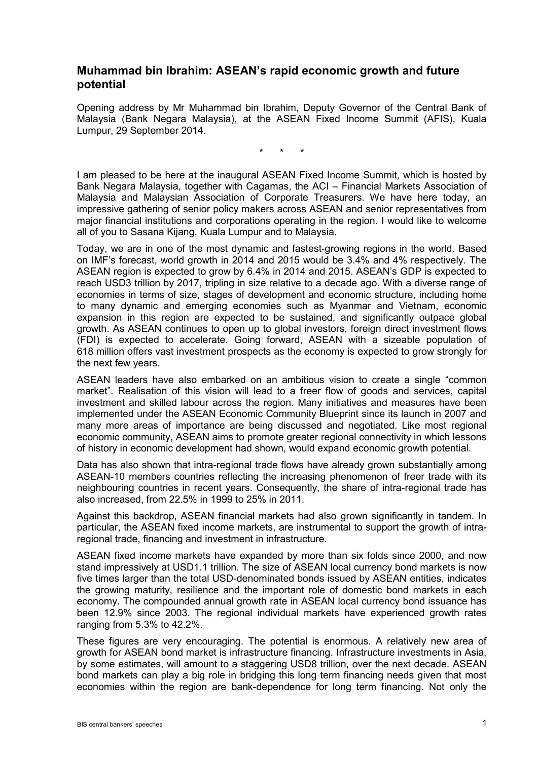## **Muhammad bin Ibrahim: ASEAN's rapid economic growth and future potential**

Opening address by Mr Muhammad bin Ibrahim, Deputy Governor of the Central Bank of Malaysia (Bank Negara Malaysia), at the ASEAN Fixed Income Summit (AFIS), Kuala Lumpur, 29 September 2014.

\* \* \*

I am pleased to be here at the inaugural ASEAN Fixed Income Summit, which is hosted by Bank Negara Malaysia, together with Cagamas, the ACI – Financial Markets Association of Malaysia and Malaysian Association of Corporate Treasurers. We have here today, an impressive gathering of senior policy makers across ASEAN and senior representatives from major financial institutions and corporations operating in the region. I would like to welcome all of you to Sasana Kijang, Kuala Lumpur and to Malaysia.

Today, we are in one of the most dynamic and fastest-growing regions in the world. Based on IMF's forecast, world growth in 2014 and 2015 would be 3.4% and 4% respectively. The ASEAN region is expected to grow by 6.4% in 2014 and 2015. ASEAN's GDP is expected to reach USD3 trillion by 2017, tripling in size relative to a decade ago. With a diverse range of economies in terms of size, stages of development and economic structure, including home to many dynamic and emerging economies such as Myanmar and Vietnam, economic expansion in this region are expected to be sustained, and significantly outpace global growth. As ASEAN continues to open up to global investors, foreign direct investment flows (FDI) is expected to accelerate. Going forward, ASEAN with a sizeable population of 618 million offers vast investment prospects as the economy is expected to grow strongly for the next few years.

ASEAN leaders have also embarked on an ambitious vision to create a single "common market". Realisation of this vision will lead to a freer flow of goods and services, capital investment and skilled labour across the region. Many initiatives and measures have been implemented under the ASEAN Economic Community Blueprint since its launch in 2007 and many more areas of importance are being discussed and negotiated. Like most regional economic community, ASEAN aims to promote greater regional connectivity in which lessons of history in economic development had shown, would expand economic growth potential.

Data has also shown that intra-regional trade flows have already grown substantially among ASEAN-10 members countries reflecting the increasing phenomenon of freer trade with its neighbouring countries in recent years. Consequently, the share of intra-regional trade has also increased, from 22.5% in 1999 to 25% in 2011.

Against this backdrop, ASEAN financial markets had also grown significantly in tandem. In particular, the ASEAN fixed income markets, are instrumental to support the growth of intraregional trade, financing and investment in infrastructure.

ASEAN fixed income markets have expanded by more than six folds since 2000, and now stand impressively at USD1.1 trillion. The size of ASEAN local currency bond markets is now five times larger than the total USD-denominated bonds issued by ASEAN entities, indicates the growing maturity, resilience and the important role of domestic bond markets in each economy. The compounded annual growth rate in ASEAN local currency bond issuance has been 12.9% since 2003. The regional individual markets have experienced growth rates ranging from 5.3% to 42.2%.

These figures are very encouraging. The potential is enormous. A relatively new area of growth for ASEAN bond market is infrastructure financing. Infrastructure investments in Asia, by some estimates, will amount to a staggering USD8 trillion, over the next decade. ASEAN bond markets can play a big role in bridging this long term financing needs given that most economies within the region are bank-dependence for long term financing. Not only the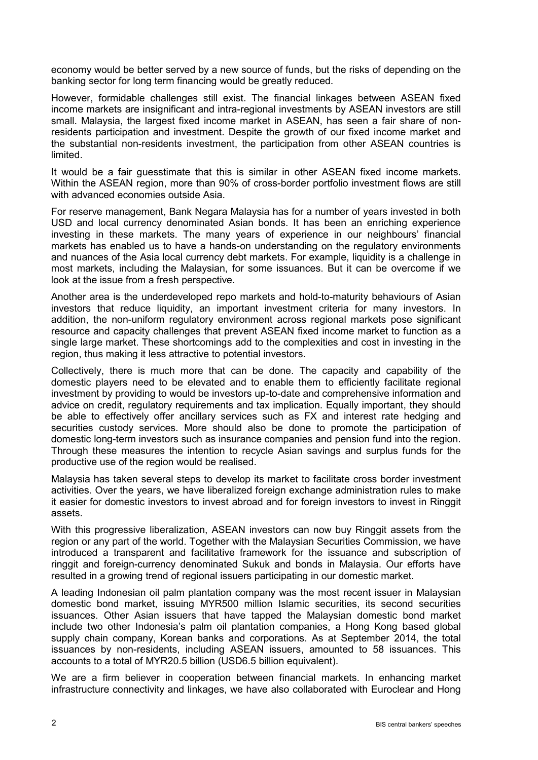economy would be better served by a new source of funds, but the risks of depending on the banking sector for long term financing would be greatly reduced.

However, formidable challenges still exist. The financial linkages between ASEAN fixed income markets are insignificant and intra-regional investments by ASEAN investors are still small. Malaysia, the largest fixed income market in ASEAN, has seen a fair share of nonresidents participation and investment. Despite the growth of our fixed income market and the substantial non-residents investment, the participation from other ASEAN countries is limited.

It would be a fair guesstimate that this is similar in other ASEAN fixed income markets. Within the ASEAN region, more than 90% of cross-border portfolio investment flows are still with advanced economies outside Asia.

For reserve management, Bank Negara Malaysia has for a number of years invested in both USD and local currency denominated Asian bonds. It has been an enriching experience investing in these markets. The many years of experience in our neighbours' financial markets has enabled us to have a hands-on understanding on the regulatory environments and nuances of the Asia local currency debt markets. For example, liquidity is a challenge in most markets, including the Malaysian, for some issuances. But it can be overcome if we look at the issue from a fresh perspective.

Another area is the underdeveloped repo markets and hold-to-maturity behaviours of Asian investors that reduce liquidity, an important investment criteria for many investors. In addition, the non-uniform regulatory environment across regional markets pose significant resource and capacity challenges that prevent ASEAN fixed income market to function as a single large market. These shortcomings add to the complexities and cost in investing in the region, thus making it less attractive to potential investors.

Collectively, there is much more that can be done. The capacity and capability of the domestic players need to be elevated and to enable them to efficiently facilitate regional investment by providing to would be investors up-to-date and comprehensive information and advice on credit, regulatory requirements and tax implication. Equally important, they should be able to effectively offer ancillary services such as FX and interest rate hedging and securities custody services. More should also be done to promote the participation of domestic long-term investors such as insurance companies and pension fund into the region. Through these measures the intention to recycle Asian savings and surplus funds for the productive use of the region would be realised.

Malaysia has taken several steps to develop its market to facilitate cross border investment activities. Over the years, we have liberalized foreign exchange administration rules to make it easier for domestic investors to invest abroad and for foreign investors to invest in Ringgit assets.

With this progressive liberalization, ASEAN investors can now buy Ringgit assets from the region or any part of the world. Together with the Malaysian Securities Commission, we have introduced a transparent and facilitative framework for the issuance and subscription of ringgit and foreign-currency denominated Sukuk and bonds in Malaysia. Our efforts have resulted in a growing trend of regional issuers participating in our domestic market.

A leading Indonesian oil palm plantation company was the most recent issuer in Malaysian domestic bond market, issuing MYR500 million Islamic securities, its second securities issuances. Other Asian issuers that have tapped the Malaysian domestic bond market include two other Indonesia's palm oil plantation companies, a Hong Kong based global supply chain company, Korean banks and corporations. As at September 2014, the total issuances by non-residents, including ASEAN issuers, amounted to 58 issuances. This accounts to a total of MYR20.5 billion (USD6.5 billion equivalent).

We are a firm believer in cooperation between financial markets. In enhancing market infrastructure connectivity and linkages, we have also collaborated with Euroclear and Hong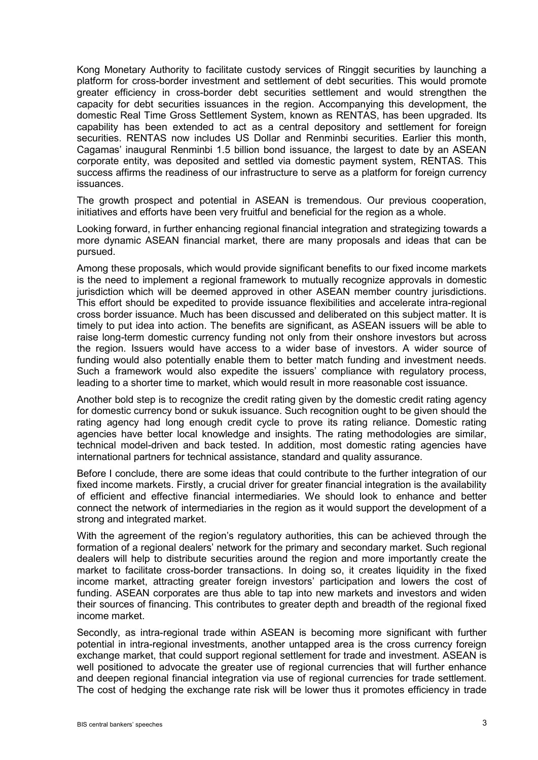Kong Monetary Authority to facilitate custody services of Ringgit securities by launching a platform for cross-border investment and settlement of debt securities. This would promote greater efficiency in cross-border debt securities settlement and would strengthen the capacity for debt securities issuances in the region. Accompanying this development, the domestic Real Time Gross Settlement System, known as RENTAS, has been upgraded. Its capability has been extended to act as a central depository and settlement for foreign securities. RENTAS now includes US Dollar and Renminbi securities. Earlier this month, Cagamas' inaugural Renminbi 1.5 billion bond issuance, the largest to date by an ASEAN corporate entity, was deposited and settled via domestic payment system, RENTAS. This success affirms the readiness of our infrastructure to serve as a platform for foreign currency issuances.

The growth prospect and potential in ASEAN is tremendous. Our previous cooperation, initiatives and efforts have been very fruitful and beneficial for the region as a whole.

Looking forward, in further enhancing regional financial integration and strategizing towards a more dynamic ASEAN financial market, there are many proposals and ideas that can be pursued.

Among these proposals, which would provide significant benefits to our fixed income markets is the need to implement a regional framework to mutually recognize approvals in domestic jurisdiction which will be deemed approved in other ASEAN member country jurisdictions. This effort should be expedited to provide issuance flexibilities and accelerate intra-regional cross border issuance. Much has been discussed and deliberated on this subject matter. It is timely to put idea into action. The benefits are significant, as ASEAN issuers will be able to raise long-term domestic currency funding not only from their onshore investors but across the region. Issuers would have access to a wider base of investors. A wider source of funding would also potentially enable them to better match funding and investment needs. Such a framework would also expedite the issuers' compliance with regulatory process, leading to a shorter time to market, which would result in more reasonable cost issuance.

Another bold step is to recognize the credit rating given by the domestic credit rating agency for domestic currency bond or sukuk issuance. Such recognition ought to be given should the rating agency had long enough credit cycle to prove its rating reliance. Domestic rating agencies have better local knowledge and insights. The rating methodologies are similar, technical model-driven and back tested. In addition, most domestic rating agencies have international partners for technical assistance, standard and quality assurance.

Before I conclude, there are some ideas that could contribute to the further integration of our fixed income markets. Firstly, a crucial driver for greater financial integration is the availability of efficient and effective financial intermediaries. We should look to enhance and better connect the network of intermediaries in the region as it would support the development of a strong and integrated market.

With the agreement of the region's regulatory authorities, this can be achieved through the formation of a regional dealers' network for the primary and secondary market. Such regional dealers will help to distribute securities around the region and more importantly create the market to facilitate cross-border transactions. In doing so, it creates liquidity in the fixed income market, attracting greater foreign investors' participation and lowers the cost of funding. ASEAN corporates are thus able to tap into new markets and investors and widen their sources of financing. This contributes to greater depth and breadth of the regional fixed income market.

Secondly, as intra-regional trade within ASEAN is becoming more significant with further potential in intra-regional investments, another untapped area is the cross currency foreign exchange market, that could support regional settlement for trade and investment. ASEAN is well positioned to advocate the greater use of regional currencies that will further enhance and deepen regional financial integration via use of regional currencies for trade settlement. The cost of hedging the exchange rate risk will be lower thus it promotes efficiency in trade